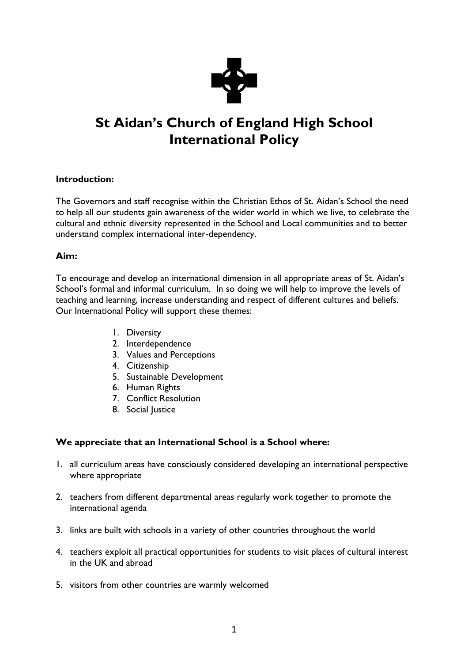

# **St Aidan's Church of England High School International Policy**

# **Introduction:**

The Governors and staff recognise within the Christian Ethos of St. Aidan's School the need to help all our students gain awareness of the wider world in which we live, to celebrate the cultural and ethnic diversity represented in the School and Local communities and to better understand complex international inter-dependency.

### **Aim:**

To encourage and develop an international dimension in all appropriate areas of St. Aidan's School's formal and informal curriculum. In so doing we will help to improve the levels of teaching and learning, increase understanding and respect of different cultures and beliefs. Our International Policy will support these themes:

- 1. Diversity
- 2. Interdependence
- 3. Values and Perceptions
- 4. Citizenship
- 5. Sustainable Development
- 6. Human Rights
- 7. Conflict Resolution
- 8. Social Justice

# **We appreciate that an International School is a School where:**

- 1. all curriculum areas have consciously considered developing an international perspective where appropriate
- 2. teachers from different departmental areas regularly work together to promote the international agenda
- 3. links are built with schools in a variety of other countries throughout the world
- 4. teachers exploit all practical opportunities for students to visit places of cultural interest in the UK and abroad
- 5. visitors from other countries are warmly welcomed